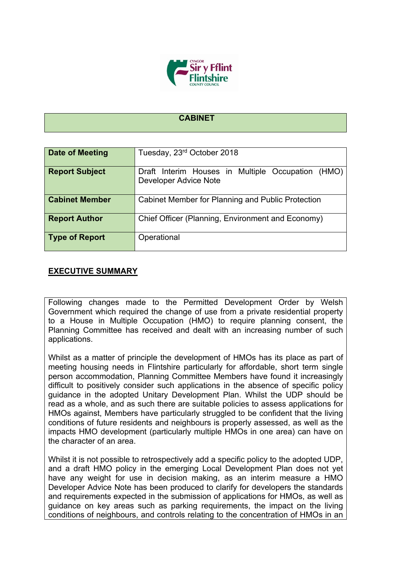

## **CABINET**

| Date of Meeting       | Tuesday, 23rd October 2018                                                 |
|-----------------------|----------------------------------------------------------------------------|
| <b>Report Subject</b> | Draft Interim Houses in Multiple Occupation (HMO)<br>Developer Advice Note |
| <b>Cabinet Member</b> | Cabinet Member for Planning and Public Protection                          |
| <b>Report Author</b>  | Chief Officer (Planning, Environment and Economy)                          |
| <b>Type of Report</b> | Operational                                                                |

## **EXECUTIVE SUMMARY**

Following changes made to the Permitted Development Order by Welsh Government which required the change of use from a private residential property to a House in Multiple Occupation (HMO) to require planning consent, the Planning Committee has received and dealt with an increasing number of such applications.

Whilst as a matter of principle the development of HMOs has its place as part of meeting housing needs in Flintshire particularly for affordable, short term single person accommodation, Planning Committee Members have found it increasingly difficult to positively consider such applications in the absence of specific policy guidance in the adopted Unitary Development Plan. Whilst the UDP should be read as a whole, and as such there are suitable policies to assess applications for HMOs against, Members have particularly struggled to be confident that the living conditions of future residents and neighbours is properly assessed, as well as the impacts HMO development (particularly multiple HMOs in one area) can have on the character of an area.

Whilst it is not possible to retrospectively add a specific policy to the adopted UDP. and a draft HMO policy in the emerging Local Development Plan does not yet have any weight for use in decision making, as an interim measure a HMO Developer Advice Note has been produced to clarify for developers the standards and requirements expected in the submission of applications for HMOs, as well as guidance on key areas such as parking requirements, the impact on the living conditions of neighbours, and controls relating to the concentration of HMOs in an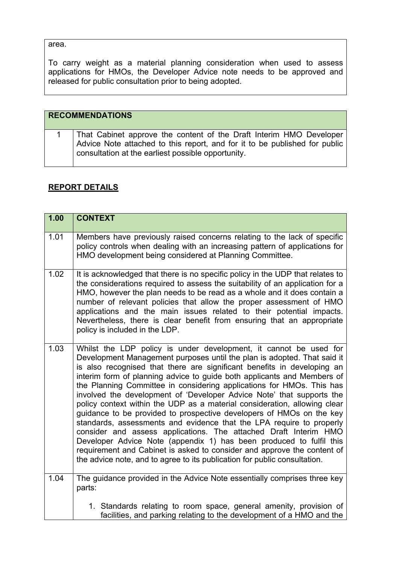## area.

To carry weight as a material planning consideration when used to assess applications for HMOs, the Developer Advice note needs to be approved and released for public consultation prior to being adopted.

| <b>RECOMMENDATIONS</b>                                                                                                                                                                                  |
|---------------------------------------------------------------------------------------------------------------------------------------------------------------------------------------------------------|
| That Cabinet approve the content of the Draft Interim HMO Developer<br>Advice Note attached to this report, and for it to be published for public<br>consultation at the earliest possible opportunity. |

## **REPORT DETAILS**

| 1.00 | <b>CONTEXT</b>                                                                                                                                                                                                                                                                                                                                                                                                                                                                                                                                                                                                                                                                                                                                                                                                                                                                                                                                                                       |
|------|--------------------------------------------------------------------------------------------------------------------------------------------------------------------------------------------------------------------------------------------------------------------------------------------------------------------------------------------------------------------------------------------------------------------------------------------------------------------------------------------------------------------------------------------------------------------------------------------------------------------------------------------------------------------------------------------------------------------------------------------------------------------------------------------------------------------------------------------------------------------------------------------------------------------------------------------------------------------------------------|
| 1.01 | Members have previously raised concerns relating to the lack of specific<br>policy controls when dealing with an increasing pattern of applications for<br>HMO development being considered at Planning Committee.                                                                                                                                                                                                                                                                                                                                                                                                                                                                                                                                                                                                                                                                                                                                                                   |
| 1.02 | It is acknowledged that there is no specific policy in the UDP that relates to<br>the considerations required to assess the suitability of an application for a<br>HMO, however the plan needs to be read as a whole and it does contain a<br>number of relevant policies that allow the proper assessment of HMO<br>applications and the main issues related to their potential impacts.<br>Nevertheless, there is clear benefit from ensuring that an appropriate<br>policy is included in the LDP.                                                                                                                                                                                                                                                                                                                                                                                                                                                                                |
| 1.03 | Whilst the LDP policy is under development, it cannot be used for<br>Development Management purposes until the plan is adopted. That said it<br>is also recognised that there are significant benefits in developing an<br>interim form of planning advice to guide both applicants and Members of<br>the Planning Committee in considering applications for HMOs. This has<br>involved the development of 'Developer Advice Note' that supports the<br>policy context within the UDP as a material consideration, allowing clear<br>guidance to be provided to prospective developers of HMOs on the key<br>standards, assessments and evidence that the LPA require to properly<br>consider and assess applications. The attached Draft Interim HMO<br>Developer Advice Note (appendix 1) has been produced to fulfil this<br>requirement and Cabinet is asked to consider and approve the content of<br>the advice note, and to agree to its publication for public consultation. |
| 1.04 | The guidance provided in the Advice Note essentially comprises three key<br>parts:                                                                                                                                                                                                                                                                                                                                                                                                                                                                                                                                                                                                                                                                                                                                                                                                                                                                                                   |
|      | 1. Standards relating to room space, general amenity, provision of<br>facilities, and parking relating to the development of a HMO and the                                                                                                                                                                                                                                                                                                                                                                                                                                                                                                                                                                                                                                                                                                                                                                                                                                           |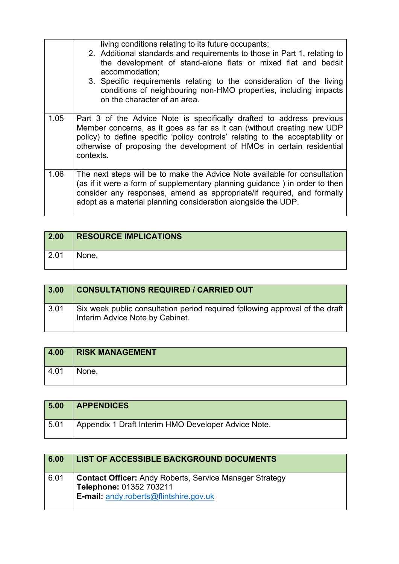|      | living conditions relating to its future occupants;<br>2. Additional standards and requirements to those in Part 1, relating to<br>the development of stand-alone flats or mixed flat and bedsit<br>accommodation;<br>3. Specific requirements relating to the consideration of the living<br>conditions of neighbouring non-HMO properties, including impacts<br>on the character of an area. |
|------|------------------------------------------------------------------------------------------------------------------------------------------------------------------------------------------------------------------------------------------------------------------------------------------------------------------------------------------------------------------------------------------------|
| 1.05 | Part 3 of the Advice Note is specifically drafted to address previous<br>Member concerns, as it goes as far as it can (without creating new UDP<br>policy) to define specific 'policy controls' relating to the acceptability or<br>otherwise of proposing the development of HMOs in certain residential<br>contexts.                                                                         |
| 1.06 | The next steps will be to make the Advice Note available for consultation<br>(as if it were a form of supplementary planning guidance) in order to then<br>consider any responses, amend as appropriate/if required, and formally<br>adopt as a material planning consideration alongside the UDP.                                                                                             |

| 2.00 | <b>RESOURCE IMPLICATIONS</b> |
|------|------------------------------|
| 2.01 | None.                        |

| 3.00 | <b>CONSULTATIONS REQUIRED / CARRIED OUT</b>                                                                     |
|------|-----------------------------------------------------------------------------------------------------------------|
| 3.01 | Six week public consultation period required following approval of the draft<br>Interim Advice Note by Cabinet. |

| 4.00 | <b>RISK MANAGEMENT</b> |
|------|------------------------|
| 4.01 | None.                  |

| 5.00 | <b>APPENDICES</b>                                   |
|------|-----------------------------------------------------|
| 5.01 | Appendix 1 Draft Interim HMO Developer Advice Note. |

| 6.00 | LIST OF ACCESSIBLE BACKGROUND DOCUMENTS                                                                                                    |
|------|--------------------------------------------------------------------------------------------------------------------------------------------|
| 6.01 | <b>Contact Officer:</b> Andy Roberts, Service Manager Strategy<br>Telephone: 01352 703211<br><b>E-mail:</b> andy roberts@flintshire.gov.uk |